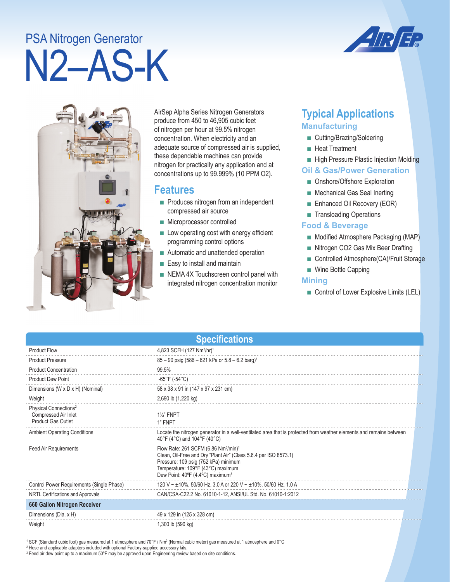# N2–AS-K PSA Nitrogen Generator





AirSep Alpha Series Nitrogen Generators produce from 450 to 46,905 cubic feet of nitrogen per hour at 99.5% nitrogen concentration. When electricity and an adequate source of compressed air is supplied, these dependable machines can provide nitrogen for practically any application and at concentrations up to 99.999% (10 PPM O2).

## **Features**

- Produces nitrogen from an independent compressed air source
- Microprocessor controlled
- Low operating cost with energy efficient programming control options
- Automatic and unattended operation
- Easy to install and maintain
- NEMA 4X Touchscreen control panel with integrated nitrogen concentration monitor

# **Typical Applications Manufacturing**

- Cutting/Brazing/Soldering
- Heat Treatment
- High Pressure Plastic Injection Molding

#### **Oil & Gas/Power Generation**

- Onshore/Offshore Exploration
- Mechanical Gas Seal Inerting
- Enhanced Oil Recovery (EOR)
- Transloading Operations

#### **Food & Beverage**

- Modified Atmosphere Packaging (MAP)
- Nitrogen CO2 Gas Mix Beer Drafting
- Controlled Atmosphere(CA)/Fruit Storage
- Wine Bottle Capping

#### **Mining**

■ Control of Lower Explosive Limits (LEL)

| <b>Specifications</b>                                                                  |                                                                                                                                                                                                                                                               |  |  |
|----------------------------------------------------------------------------------------|---------------------------------------------------------------------------------------------------------------------------------------------------------------------------------------------------------------------------------------------------------------|--|--|
| <b>Product Flow</b>                                                                    | 4,823 SCFH (127 Nm <sup>3</sup> /hr) <sup>1</sup>                                                                                                                                                                                                             |  |  |
| <b>Product Pressure</b>                                                                | $85 - 90$ psig (586 - 621 kPa or $5.8 - 6.2$ barg) <sup>1</sup>                                                                                                                                                                                               |  |  |
| <b>Product Concentration</b>                                                           | 99.5%                                                                                                                                                                                                                                                         |  |  |
| <b>Product Dew Point</b>                                                               | $-65^{\circ}$ F (-54 $^{\circ}$ C)                                                                                                                                                                                                                            |  |  |
| Dimensions (W x D x H) (Nominal)                                                       | 58 x 38 x 91 in (147 x 97 x 231 cm)                                                                                                                                                                                                                           |  |  |
| Weight                                                                                 | 2,690 lb (1,220 kg)                                                                                                                                                                                                                                           |  |  |
| Physical Connections <sup>2</sup><br>Compressed Air Inlet<br><b>Product Gas Outlet</b> | <b>1%" FNPT</b><br>1" FNPT                                                                                                                                                                                                                                    |  |  |
| <b>Ambient Operating Conditions</b>                                                    | Locate the nitrogen generator in a well-ventilated area that is protected from weather elements and remains between<br>40°F (4°C) and 104°F (40°C)                                                                                                            |  |  |
| <b>Feed Air Requirements</b>                                                           | Flow Rate: 261 SCFM (6.86 Nm <sup>3</sup> /min) <sup>1</sup><br>Clean, Oil-Free and Dry "Plant Air" (Class 5.6.4 per ISO 8573.1)<br>Pressure: 109 psig (752 kPa) minimum<br>Temperature: 109°F (43°C) maximum<br>Dew Point: 40°F (4.4°C) maximum <sup>3</sup> |  |  |
| Control Power Requirements (Single Phase)                                              | 120 V ~ ±10%, 50/60 Hz, 3.0 A or 220 V ~ ±10%, 50/60 Hz, 1.0 A                                                                                                                                                                                                |  |  |
| NRTL Certifications and Approvals                                                      | CAN/CSA-C22.2 No. 61010-1-12, ANSI/UL Std. No. 61010-1:2012                                                                                                                                                                                                   |  |  |
| 660 Gallon Nitrogen Receiver                                                           |                                                                                                                                                                                                                                                               |  |  |
| Dimensions (Dia. x H)                                                                  | 49 x 129 in (125 x 328 cm)                                                                                                                                                                                                                                    |  |  |
| Weight                                                                                 | 1,300 lb (590 kg)                                                                                                                                                                                                                                             |  |  |

' SCF (Standard cubic foot) gas measured at 1 atmosphere and 70°F / Nm3 (Normal cubic meter) gas measured at 1 atmosphere and 0°C<br><sup>2</sup> Hose and applicable adapters included with optional Factory-supplied accessory kits.

3 Feed air dew point up to a maximum 50ºF may be approved upon Engineering review based on site conditions.